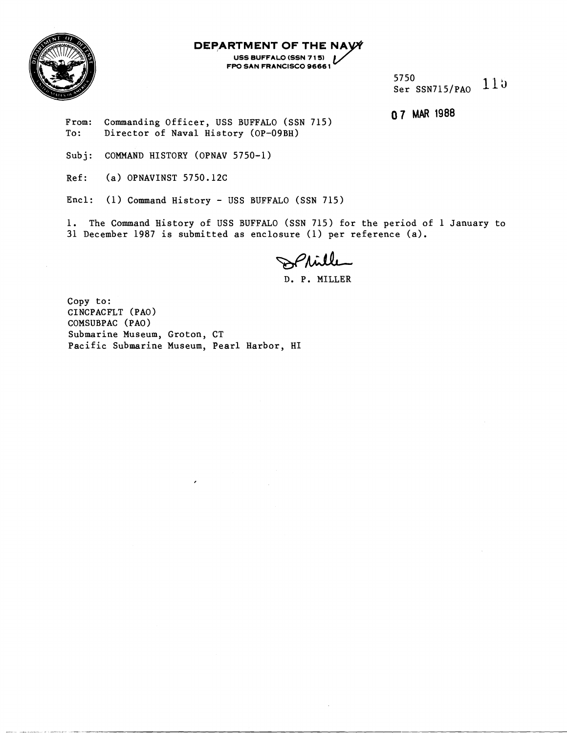

## **DEPARTMENT OF THE**

**USS BUFFALO (SSN 7 1 51 FPO SAN FRANCISCO 96661** 

5750<br>Ser SSN715/PAO  $115$ 

**07 MAR 1988** 

From: Commanding Officer, USS BUFFALO (SSN 715) To: Director of Naval History (OP-09BH)

Subj: COMMAND HISTORY (OPNAV 5750-1)

Ref: (a) OPNAVINST 5750.12C

Encl: (1) Command History - USS BUFFALO (SSN 715)

1. The Command History of USS BUFFALO (SSN 715) for the period of 1 January to **31** December 1987 is submitted as enclosure (1) per reference (a).

**Bplt;se** 

D. P. MILLER

Copy to: CINCPACFLT (PAO) COMSUBPAC (PA0 ) Submarine Museum, Groton, CT Pacific Submarine Museum, Pearl Harbor, HI